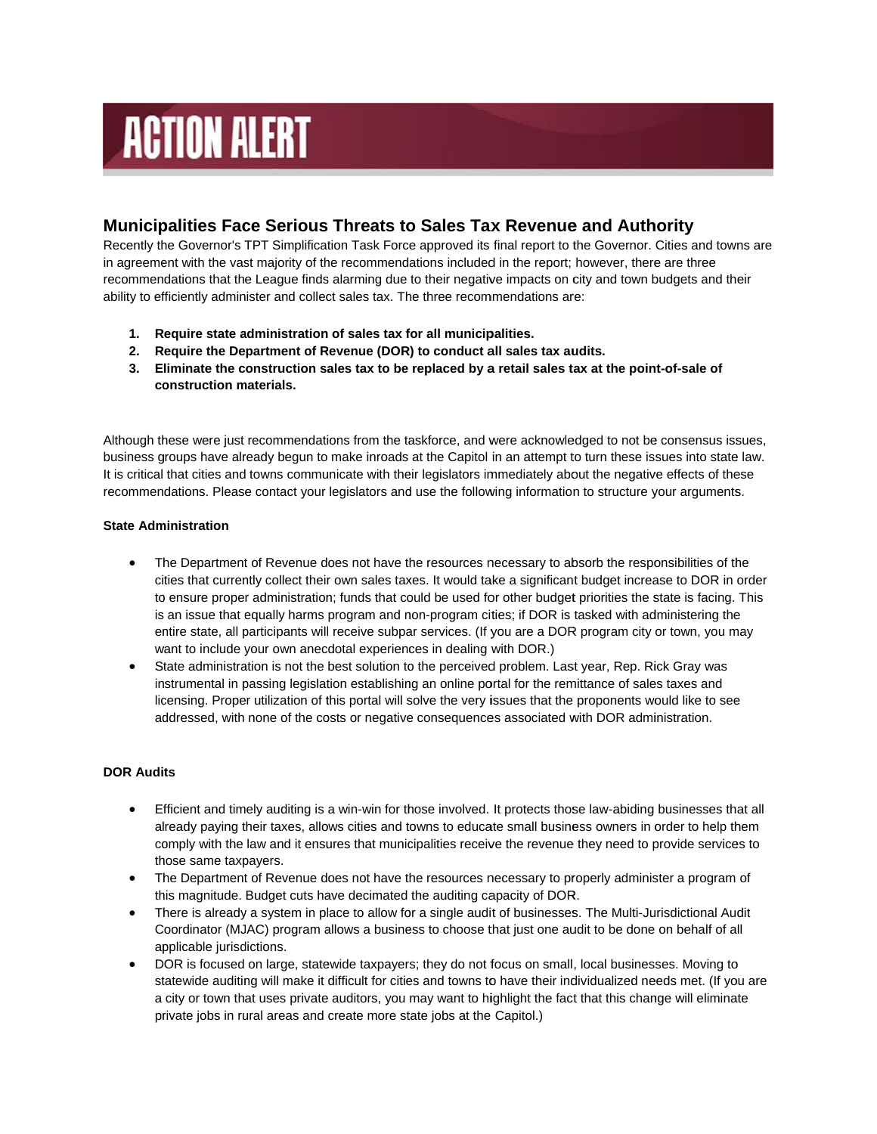# **ACTION ALERT**

## **Municipalities Face Serious Threats to Sales Tax Revenue and Authority**

Recently the Governor's TPT Simplification Task Force approved its final report to the Governor. Cities and towns are in agreement with the vast majority of the recommendations included in the report; however, there are three recommendations that the League finds alarming due to their negative impacts on city and town budgets and their ability to efficiently administer and collect sales tax. The three recommendations are:

- 1. Require state administration of sales tax for all municipalities.
- 2. Require the Department of Revenue (DOR) to conduct all sales tax audits.
- 3. Eliminate the construction sales tax to be replaced by a retail sales tax at the point-of-sale of construction materials.

Although these were just recommendations from the taskforce, and were acknowledged to not be consensus issues, business groups have already begun to make inroads at the Capitol in an attempt to turn these issues into state law. It is critical that cities and towns communicate with their legislators immediately about the negative effects of these recommendations. Please contact your legislators and use the following information to structure your arguments.

#### **State Administration**

- The Department of Revenue does not have the resources necessary to absorb the responsibilities of the  $\bullet$ cities that currently collect their own sales taxes. It would take a significant budget increase to DOR in order to ensure proper administration; funds that could be used for other budget priorities the state is facing. This is an issue that equally harms program and non-program cities; if DOR is tasked with administering the entire state, all participants will receive subpar services. (If you are a DOR program city or town, you may want to include your own anecdotal experiences in dealing with DOR.)
- State administration is not the best solution to the perceived problem. Last year, Rep. Rick Gray was instrumental in passing legislation establishing an online portal for the remittance of sales taxes and licensing. Proper utilization of this portal will solve the very issues that the proponents would like to see addressed, with none of the costs or negative consequences associated with DOR administration.

### **DOR Audits**

- $\bullet$ Efficient and timely auditing is a win-win for those involved. It protects those law-abiding businesses that all already paying their taxes, allows cities and towns to educate small business owners in order to help them comply with the law and it ensures that municipalities receive the revenue they need to provide services to those same taxpavers.
- The Department of Revenue does not have the resources necessary to properly administer a program of  $\bullet$ this magnitude. Budget cuts have decimated the auditing capacity of DOR.
- There is already a system in place to allow for a single audit of businesses. The Multi-Jurisdictional Audit Coordinator (MJAC) program allows a business to choose that just one audit to be done on behalf of all applicable jurisdictions.
- DOR is focused on large, statewide taxpayers; they do not focus on small, local businesses. Moving to statewide auditing will make it difficult for cities and towns to have their individualized needs met. (If you are a city or town that uses private auditors, you may want to highlight the fact that this change will eliminate private jobs in rural areas and create more state jobs at the Capitol.)